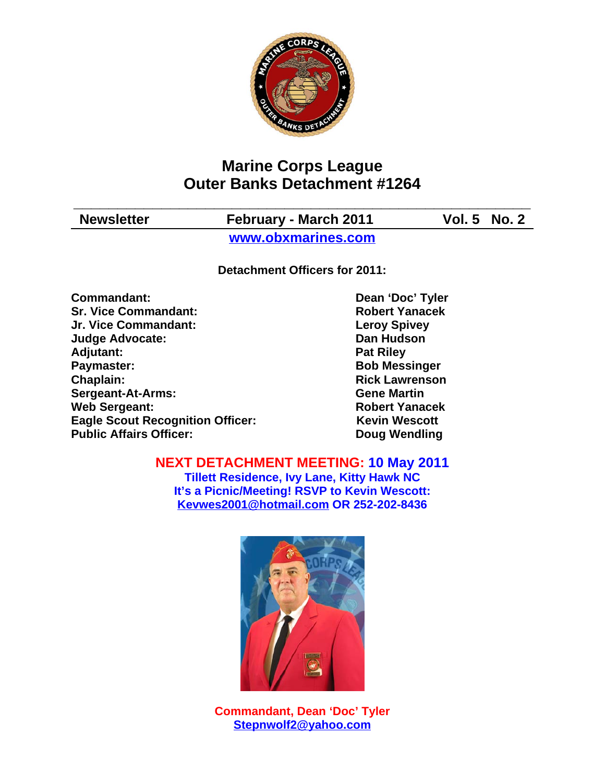

# **Marine Corps League Outer Banks Detachment #1264**

| <b>Newsletter</b> | February - March 2011 | <b>Vol. 5 No. 2</b> |
|-------------------|-----------------------|---------------------|
|                   | www.obxmarines.com    |                     |

**Detachment Officers for 2011:**

**Commandant:** Dean 'Doc' Tyler **Sr. Vice Commandant: Robert Yanacek Jr. Vice Commandant: Leroy Spivey Judge Advocate: Dan Hudson** Adjutant: **Pat Riley Paymaster:** Bob Messinger **Chaplain: Chaplain: Rick Lawrenson Sergeant-At-Arms: Gene Martin Web Sergeant: Robert Yanacek Eagle Scout Recognition Officer:** Kevin Wescott **Public Affairs Officer:** Doug Wendling

**NEXT DETACHMENT MEETING: 10 May 2011**

**Tillett Residence, Ivy Lane, Kitty Hawk NC It's a Picnic/Meeting! RSVP to Kevin Wescott: Kevwes2001@hotmail.com OR 252-202-8436**



**Commandant, Dean 'Doc' Tyler Stepnwolf2@yahoo.com**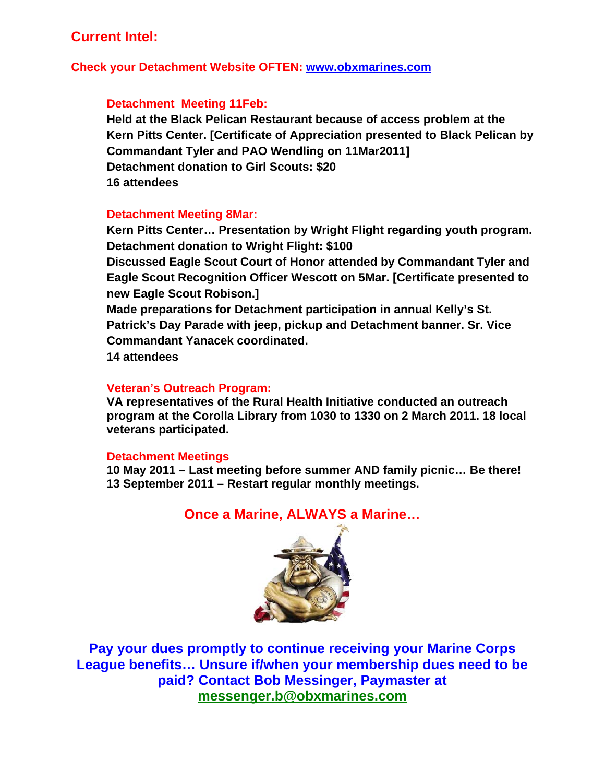# **Current Intel:**

### **Check your Detachment Website OFTEN: www.obxmarines.com**

### **Detachment Meeting 11Feb:**

**Held at the Black Pelican Restaurant because of access problem at the Kern Pitts Center. [Certificate of Appreciation presented to Black Pelican by Commandant Tyler and PAO Wendling on 11Mar2011] Detachment donation to Girl Scouts: \$20 16 attendees**

#### **Detachment Meeting 8Mar:**

**Kern Pitts Center… Presentation by Wright Flight regarding youth program. Detachment donation to Wright Flight: \$100**

**Discussed Eagle Scout Court of Honor attended by Commandant Tyler and Eagle Scout Recognition Officer Wescott on 5Mar. [Certificate presented to new Eagle Scout Robison.]**

**Made preparations for Detachment participation in annual Kelly's St. Patrick's Day Parade with jeep, pickup and Detachment banner. Sr. Vice Commandant Yanacek coordinated.**

**14 attendees**

### **Veteran's Outreach Program:**

**VA representatives of the Rural Health Initiative conducted an outreach program at the Corolla Library from 1030 to 1330 on 2 March 2011. 18 local veterans participated.**

#### **Detachment Meetings**

**10 May 2011 – Last meeting before summer AND family picnic… Be there! 13 September 2011 – Restart regular monthly meetings.**

### **Once a Marine, ALWAYS a Marine…**



**Pay your dues promptly to continue receiving your Marine Corps League benefits… Unsure if/when your membership dues need to be paid? Contact Bob Messinger, Paymaster at messenger.b@obxmarines.com**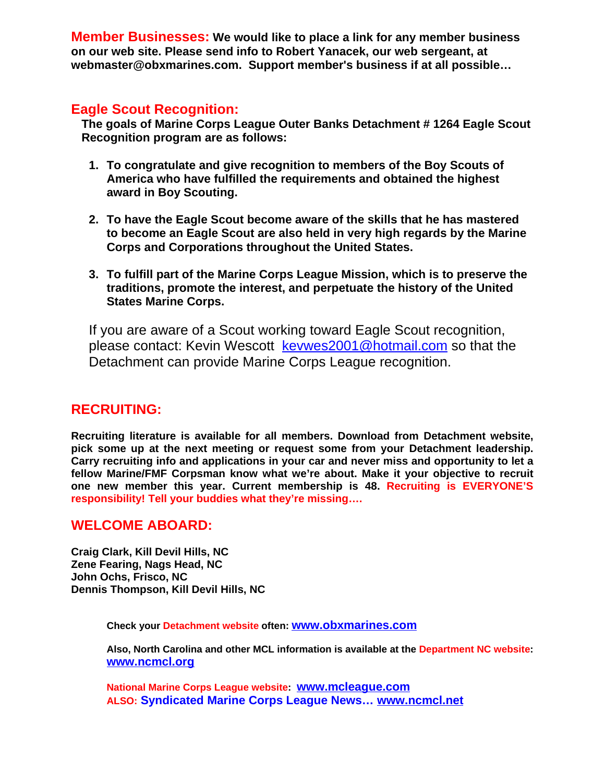**Member Businesses: We would like to place a link for any member business on our web site. Please send info to Robert Yanacek, our web sergeant, at webmaster@obxmarines.com. Support member's business if at all possible…**

## **Eagle Scout Recognition:**

**The goals of Marine Corps League Outer Banks Detachment # 1264 Eagle Scout Recognition program are as follows:**

- **1. To congratulate and give recognition to members of the Boy Scouts of America who have fulfilled the requirements and obtained the highest award in Boy Scouting.**
- **2. To have the Eagle Scout become aware of the skills that he has mastered to become an Eagle Scout are also held in very high regards by the Marine Corps and Corporations throughout the United States.**
- **3. To fulfill part of the Marine Corps League Mission, which is to preserve the traditions, promote the interest, and perpetuate the history of the United States Marine Corps.**

If you are aware of a Scout working toward Eagle Scout recognition, please contact: Kevin Wescott kevwes2001@hotmail.com so that the Detachment can provide Marine Corps League recognition.

## **RECRUITING:**

**Recruiting literature is available for all members. Download from Detachment website, pick some up at the next meeting or request some from your Detachment leadership. Carry recruiting info and applications in your car and never miss and opportunity to let a fellow Marine/FMF Corpsman know what we're about. Make it your objective to recruit one new member this year. Current membership is 48. Recruiting is EVERYONE'S responsibility! Tell your buddies what they're missing….**

### **WELCOME ABOARD:**

**Craig Clark, Kill Devil Hills, NC Zene Fearing, Nags Head, NC John Ochs, Frisco, NC Dennis Thompson, Kill Devil Hills, NC**

**Check your Detachment website often: www.obxmarines.com**

**Also, North Carolina and other MCL information is available at the Department NC website: www.ncmcl.org** 

**National Marine Corps League website: www.mcleague.com ALSO: Syndicated Marine Corps League News… www.ncmcl.net**